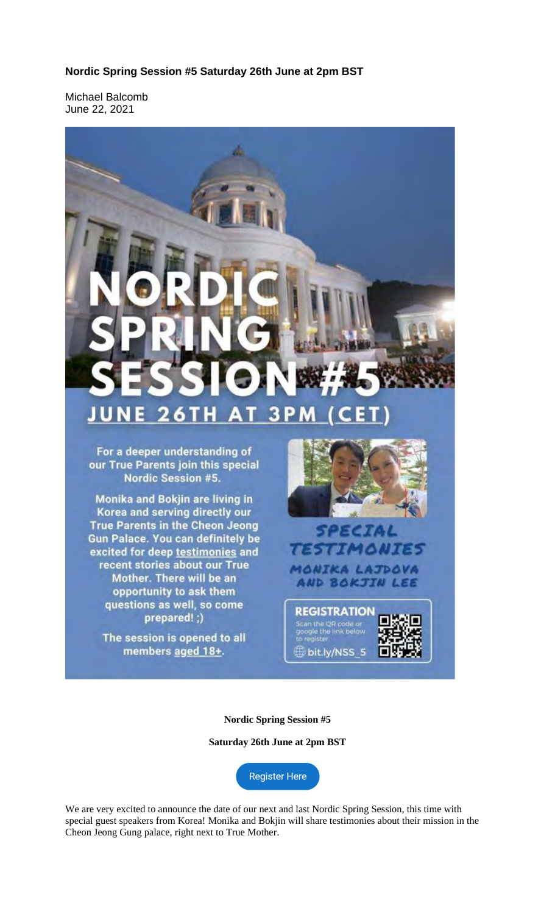## **Nordic Spring Session #5 Saturday 26th June at 2pm BST**

Michael Balcomb June 22, 2021



**Nordic Spring Session #5**

**Saturday 26th June at 2pm BST**

Register Here

We are very excited to announce the date of our next and last Nordic Spring Session, this time with special guest speakers from Korea! Monika and Bokjin will share testimonies about their mission in the Cheon Jeong Gung palace, right next to True Mother.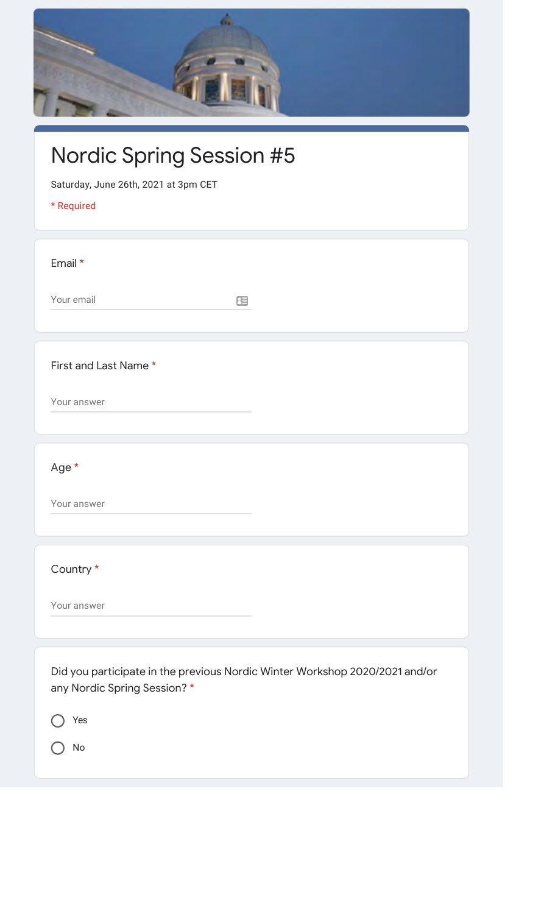| <b>Nordic Spring Session #5</b><br>Saturday, June 26th, 2021 at 3pm CET<br>* Required                              |
|--------------------------------------------------------------------------------------------------------------------|
| Email *                                                                                                            |
| Your email<br>圧                                                                                                    |
| First and Last Name *<br>Your answer                                                                               |
| Age *                                                                                                              |
| Your answer                                                                                                        |
| Country *                                                                                                          |
| Your answer                                                                                                        |
| Did you participate in the previous Nordic Winter Workshop 2020/2021 and/or<br>any Nordic Spring Session? *<br>Yes |

No